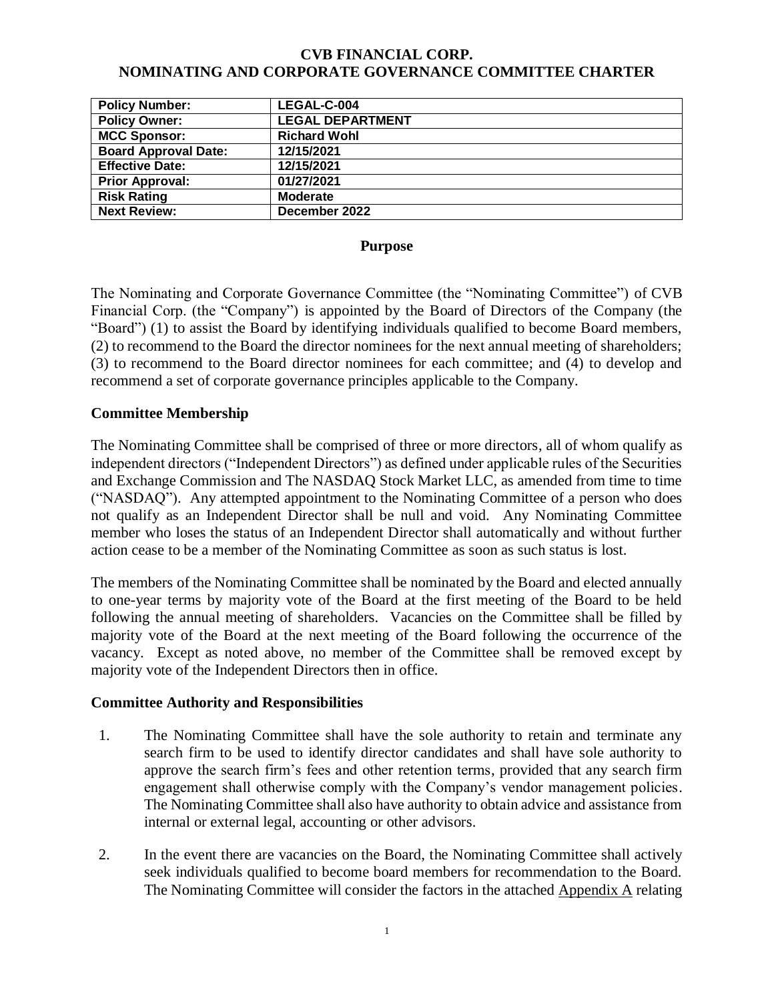#### **CVB FINANCIAL CORP. NOMINATING AND CORPORATE GOVERNANCE COMMITTEE CHARTER**

| <b>Policy Number:</b>       | LEGAL-C-004             |
|-----------------------------|-------------------------|
| <b>Policy Owner:</b>        | <b>LEGAL DEPARTMENT</b> |
| <b>MCC Sponsor:</b>         | <b>Richard Wohl</b>     |
| <b>Board Approval Date:</b> | 12/15/2021              |
| <b>Effective Date:</b>      | 12/15/2021              |
| <b>Prior Approval:</b>      | 01/27/2021              |
| <b>Risk Rating</b>          | <b>Moderate</b>         |
| <b>Next Review:</b>         | December 2022           |

#### **Purpose**

The Nominating and Corporate Governance Committee (the "Nominating Committee") of CVB Financial Corp. (the "Company") is appointed by the Board of Directors of the Company (the "Board") (1) to assist the Board by identifying individuals qualified to become Board members, (2) to recommend to the Board the director nominees for the next annual meeting of shareholders; (3) to recommend to the Board director nominees for each committee; and (4) to develop and recommend a set of corporate governance principles applicable to the Company.

#### **Committee Membership**

The Nominating Committee shall be comprised of three or more directors, all of whom qualify as independent directors ("Independent Directors") as defined under applicable rules of the Securities and Exchange Commission and The NASDAQ Stock Market LLC, as amended from time to time ("NASDAQ"). Any attempted appointment to the Nominating Committee of a person who does not qualify as an Independent Director shall be null and void. Any Nominating Committee member who loses the status of an Independent Director shall automatically and without further action cease to be a member of the Nominating Committee as soon as such status is lost.

The members of the Nominating Committee shall be nominated by the Board and elected annually to one-year terms by majority vote of the Board at the first meeting of the Board to be held following the annual meeting of shareholders. Vacancies on the Committee shall be filled by majority vote of the Board at the next meeting of the Board following the occurrence of the vacancy. Except as noted above, no member of the Committee shall be removed except by majority vote of the Independent Directors then in office.

#### **Committee Authority and Responsibilities**

- 1. The Nominating Committee shall have the sole authority to retain and terminate any search firm to be used to identify director candidates and shall have sole authority to approve the search firm's fees and other retention terms, provided that any search firm engagement shall otherwise comply with the Company's vendor management policies. The Nominating Committee shall also have authority to obtain advice and assistance from internal or external legal, accounting or other advisors.
- 2. In the event there are vacancies on the Board, the Nominating Committee shall actively seek individuals qualified to become board members for recommendation to the Board. The Nominating Committee will consider the factors in the attached Appendix A relating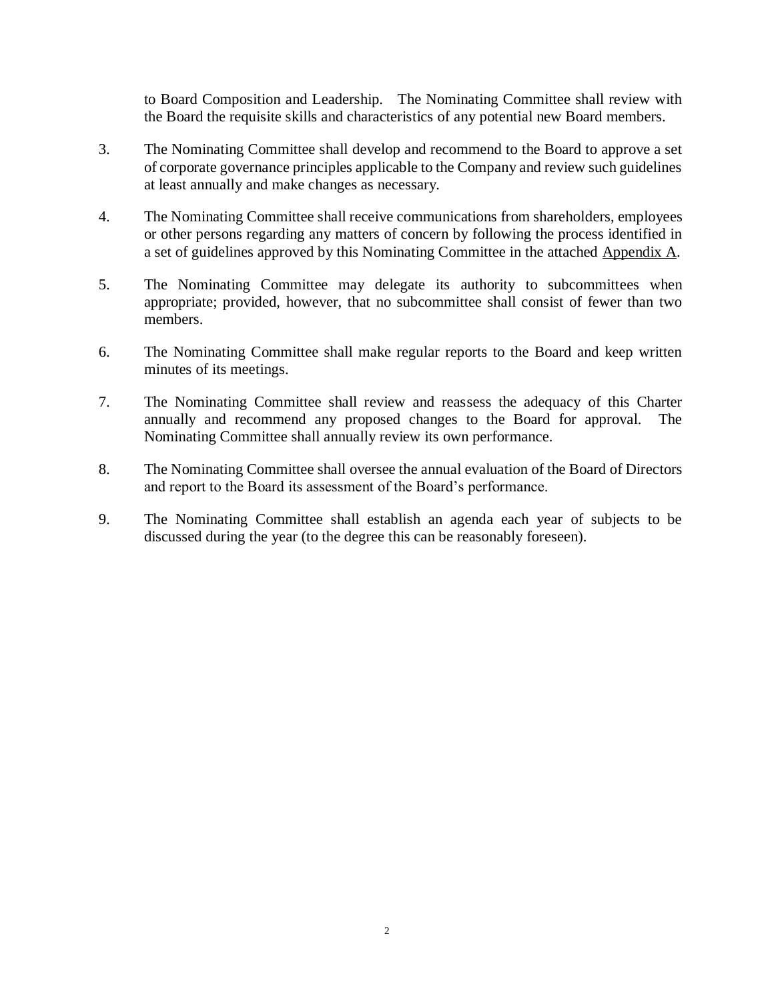to Board Composition and Leadership. The Nominating Committee shall review with the Board the requisite skills and characteristics of any potential new Board members.

- 3. The Nominating Committee shall develop and recommend to the Board to approve a set of corporate governance principles applicable to the Company and review such guidelines at least annually and make changes as necessary.
- 4. The Nominating Committee shall receive communications from shareholders, employees or other persons regarding any matters of concern by following the process identified in a set of guidelines approved by this Nominating Committee in the attached Appendix A.
- 5. The Nominating Committee may delegate its authority to subcommittees when appropriate; provided, however, that no subcommittee shall consist of fewer than two members.
- 6. The Nominating Committee shall make regular reports to the Board and keep written minutes of its meetings.
- 7. The Nominating Committee shall review and reassess the adequacy of this Charter annually and recommend any proposed changes to the Board for approval. The Nominating Committee shall annually review its own performance.
- 8. The Nominating Committee shall oversee the annual evaluation of the Board of Directors and report to the Board its assessment of the Board's performance.
- 9. The Nominating Committee shall establish an agenda each year of subjects to be discussed during the year (to the degree this can be reasonably foreseen).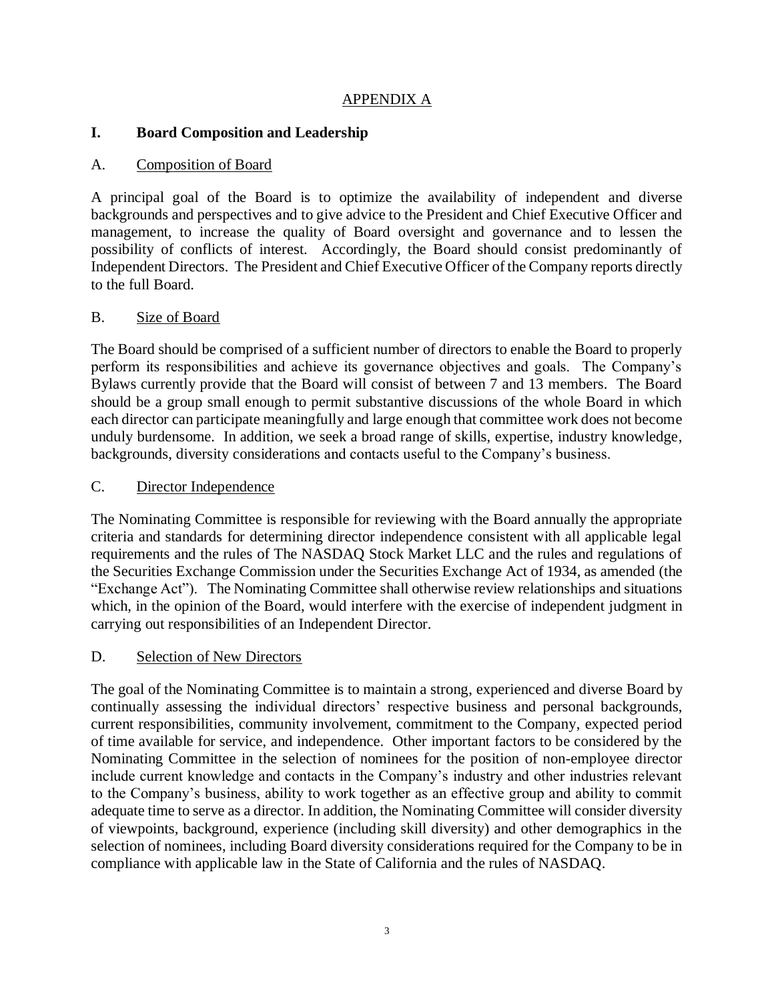## APPENDIX A

# **I. Board Composition and Leadership**

# A. Composition of Board

A principal goal of the Board is to optimize the availability of independent and diverse backgrounds and perspectives and to give advice to the President and Chief Executive Officer and management, to increase the quality of Board oversight and governance and to lessen the possibility of conflicts of interest. Accordingly, the Board should consist predominantly of Independent Directors. The President and Chief Executive Officer of the Company reports directly to the full Board.

# B. Size of Board

The Board should be comprised of a sufficient number of directors to enable the Board to properly perform its responsibilities and achieve its governance objectives and goals. The Company's Bylaws currently provide that the Board will consist of between 7 and 13 members. The Board should be a group small enough to permit substantive discussions of the whole Board in which each director can participate meaningfully and large enough that committee work does not become unduly burdensome. In addition, we seek a broad range of skills, expertise, industry knowledge, backgrounds, diversity considerations and contacts useful to the Company's business.

## C. Director Independence

The Nominating Committee is responsible for reviewing with the Board annually the appropriate criteria and standards for determining director independence consistent with all applicable legal requirements and the rules of The NASDAQ Stock Market LLC and the rules and regulations of the Securities Exchange Commission under the Securities Exchange Act of 1934, as amended (the "Exchange Act"). The Nominating Committee shall otherwise review relationships and situations which, in the opinion of the Board, would interfere with the exercise of independent judgment in carrying out responsibilities of an Independent Director.

## D. Selection of New Directors

The goal of the Nominating Committee is to maintain a strong, experienced and diverse Board by continually assessing the individual directors' respective business and personal backgrounds, current responsibilities, community involvement, commitment to the Company, expected period of time available for service, and independence. Other important factors to be considered by the Nominating Committee in the selection of nominees for the position of non-employee director include current knowledge and contacts in the Company's industry and other industries relevant to the Company's business, ability to work together as an effective group and ability to commit adequate time to serve as a director. In addition, the Nominating Committee will consider diversity of viewpoints, background, experience (including skill diversity) and other demographics in the selection of nominees, including Board diversity considerations required for the Company to be in compliance with applicable law in the State of California and the rules of NASDAQ.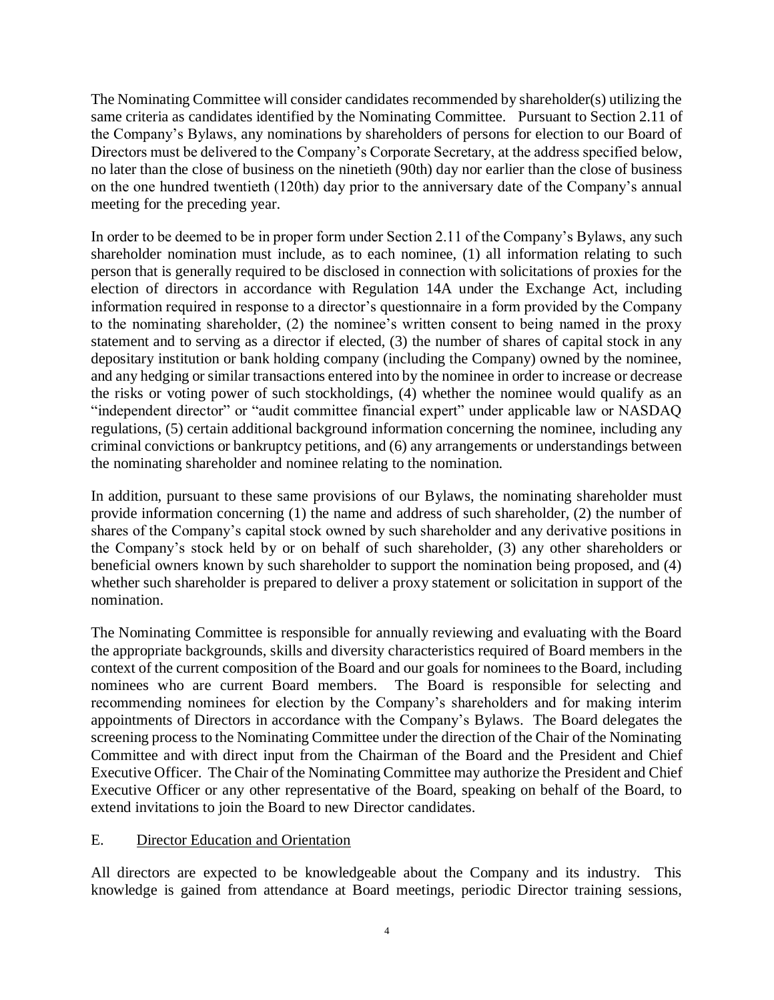The Nominating Committee will consider candidates recommended by shareholder(s) utilizing the same criteria as candidates identified by the Nominating Committee. Pursuant to Section 2.11 of the Company's Bylaws, any nominations by shareholders of persons for election to our Board of Directors must be delivered to the Company's Corporate Secretary, at the address specified below, no later than the close of business on the ninetieth (90th) day nor earlier than the close of business on the one hundred twentieth (120th) day prior to the anniversary date of the Company's annual meeting for the preceding year.

In order to be deemed to be in proper form under Section 2.11 of the Company's Bylaws, any such shareholder nomination must include, as to each nominee, (1) all information relating to such person that is generally required to be disclosed in connection with solicitations of proxies for the election of directors in accordance with Regulation 14A under the Exchange Act, including information required in response to a director's questionnaire in a form provided by the Company to the nominating shareholder, (2) the nominee's written consent to being named in the proxy statement and to serving as a director if elected, (3) the number of shares of capital stock in any depositary institution or bank holding company (including the Company) owned by the nominee, and any hedging or similar transactions entered into by the nominee in order to increase or decrease the risks or voting power of such stockholdings, (4) whether the nominee would qualify as an "independent director" or "audit committee financial expert" under applicable law or NASDAQ regulations, (5) certain additional background information concerning the nominee, including any criminal convictions or bankruptcy petitions, and (6) any arrangements or understandings between the nominating shareholder and nominee relating to the nomination.

In addition, pursuant to these same provisions of our Bylaws, the nominating shareholder must provide information concerning (1) the name and address of such shareholder, (2) the number of shares of the Company's capital stock owned by such shareholder and any derivative positions in the Company's stock held by or on behalf of such shareholder, (3) any other shareholders or beneficial owners known by such shareholder to support the nomination being proposed, and (4) whether such shareholder is prepared to deliver a proxy statement or solicitation in support of the nomination.

The Nominating Committee is responsible for annually reviewing and evaluating with the Board the appropriate backgrounds, skills and diversity characteristics required of Board members in the context of the current composition of the Board and our goals for nominees to the Board, including nominees who are current Board members. The Board is responsible for selecting and recommending nominees for election by the Company's shareholders and for making interim appointments of Directors in accordance with the Company's Bylaws. The Board delegates the screening process to the Nominating Committee under the direction of the Chair of the Nominating Committee and with direct input from the Chairman of the Board and the President and Chief Executive Officer. The Chair of the Nominating Committee may authorize the President and Chief Executive Officer or any other representative of the Board, speaking on behalf of the Board, to extend invitations to join the Board to new Director candidates.

## E. Director Education and Orientation

All directors are expected to be knowledgeable about the Company and its industry. This knowledge is gained from attendance at Board meetings, periodic Director training sessions,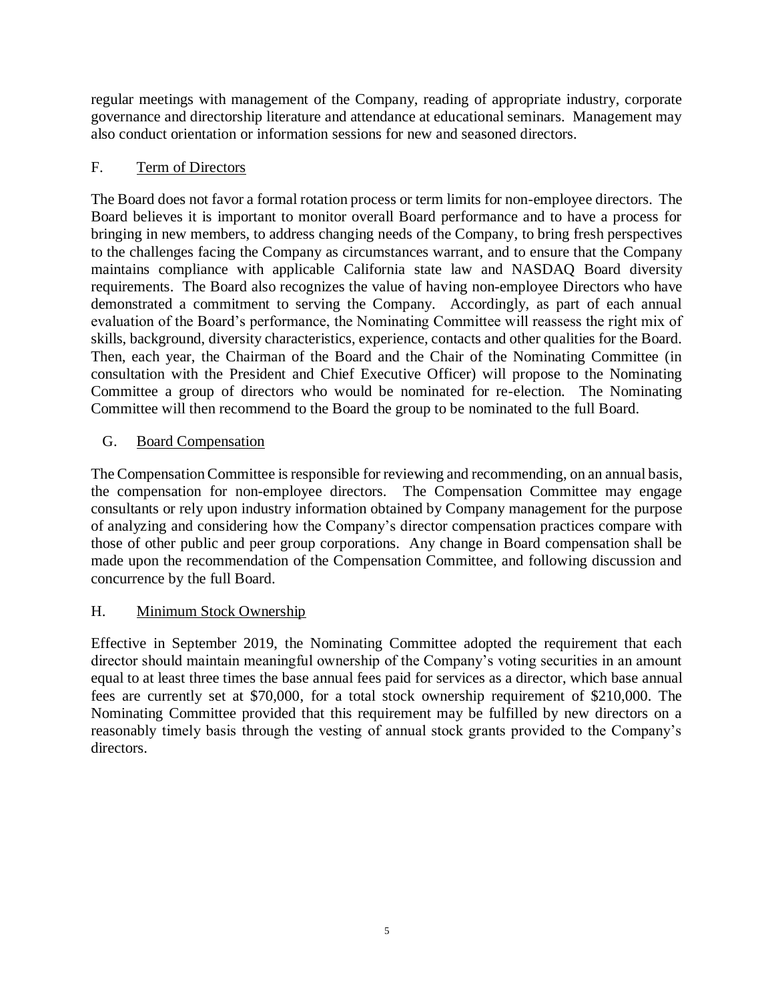regular meetings with management of the Company, reading of appropriate industry, corporate governance and directorship literature and attendance at educational seminars. Management may also conduct orientation or information sessions for new and seasoned directors.

## F. Term of Directors

The Board does not favor a formal rotation process or term limits for non-employee directors. The Board believes it is important to monitor overall Board performance and to have a process for bringing in new members, to address changing needs of the Company, to bring fresh perspectives to the challenges facing the Company as circumstances warrant, and to ensure that the Company maintains compliance with applicable California state law and NASDAQ Board diversity requirements. The Board also recognizes the value of having non-employee Directors who have demonstrated a commitment to serving the Company. Accordingly, as part of each annual evaluation of the Board's performance, the Nominating Committee will reassess the right mix of skills, background, diversity characteristics, experience, contacts and other qualities for the Board. Then, each year, the Chairman of the Board and the Chair of the Nominating Committee (in consultation with the President and Chief Executive Officer) will propose to the Nominating Committee a group of directors who would be nominated for re-election. The Nominating Committee will then recommend to the Board the group to be nominated to the full Board.

# G. Board Compensation

The Compensation Committee is responsible for reviewing and recommending, on an annual basis, the compensation for non-employee directors. The Compensation Committee may engage consultants or rely upon industry information obtained by Company management for the purpose of analyzing and considering how the Company's director compensation practices compare with those of other public and peer group corporations. Any change in Board compensation shall be made upon the recommendation of the Compensation Committee, and following discussion and concurrence by the full Board.

## H. Minimum Stock Ownership

Effective in September 2019, the Nominating Committee adopted the requirement that each director should maintain meaningful ownership of the Company's voting securities in an amount equal to at least three times the base annual fees paid for services as a director, which base annual fees are currently set at \$70,000, for a total stock ownership requirement of \$210,000. The Nominating Committee provided that this requirement may be fulfilled by new directors on a reasonably timely basis through the vesting of annual stock grants provided to the Company's directors.